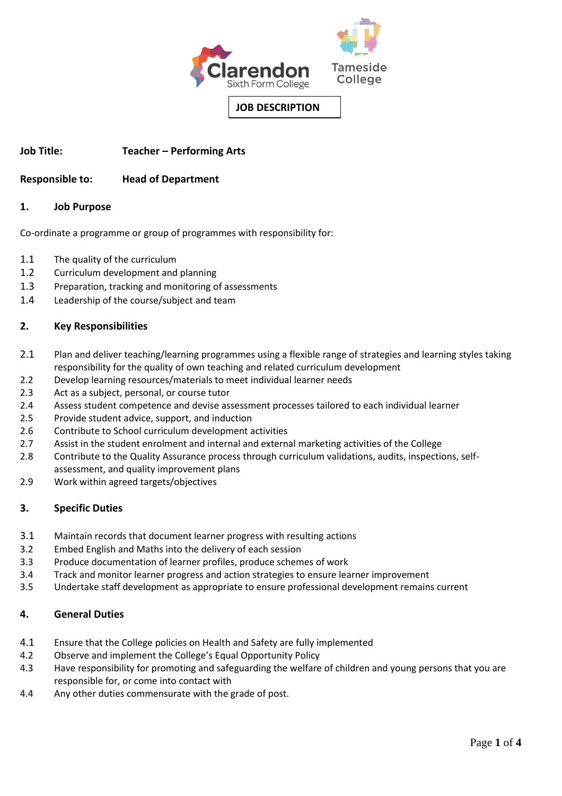

**Job Title: Teacher – Performing Arts**

# **Responsible to: Head of Department**

### **1. Job Purpose**

Co-ordinate a programme or group of programmes with responsibility for:

- 1.1 The quality of the curriculum
- 1.2 Curriculum development and planning
- 1.3 Preparation, tracking and monitoring of assessments
- 1.4 Leadership of the course/subject and team

### **2. Key Responsibilities**

- 2.1 Plan and deliver teaching/learning programmes using a flexible range of strategies and learning styles taking responsibility for the quality of own teaching and related curriculum development
- 2.2 Develop learning resources/materials to meet individual learner needs
- 2.3 Act as a subject, personal, or course tutor
- 2.4 Assess student competence and devise assessment processes tailored to each individual learner
- 2.5 Provide student advice, support, and induction
- 2.6 Contribute to School curriculum development activities
- 2.7 Assist in the student enrolment and internal and external marketing activities of the College
- 2.8 Contribute to the Quality Assurance process through curriculum validations, audits, inspections, selfassessment, and quality improvement plans
- 2.9 Work within agreed targets/objectives

# **3. Specific Duties**

- 3.1 Maintain records that document learner progress with resulting actions
- 3.2 Embed English and Maths into the delivery of each session
- 3.3 Produce documentation of learner profiles, produce schemes of work
- 3.4 Track and monitor learner progress and action strategies to ensure learner improvement
- 3.5 Undertake staff development as appropriate to ensure professional development remains current

# **4. General Duties**

- 4.1 Ensure that the College policies on Health and Safety are fully implemented
- 4.2 Observe and implement the College's Equal Opportunity Policy
- 4.3 Have responsibility for promoting and safeguarding the welfare of children and young persons that you are responsible for, or come into contact with
- 4.4 Any other duties commensurate with the grade of post.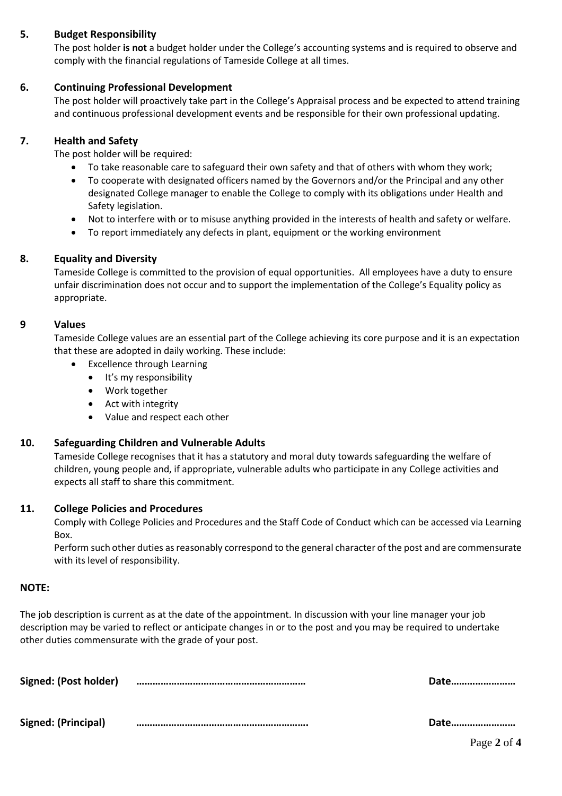# **5. Budget Responsibility**

The post holder **is not** a budget holder under the College's accounting systems and is required to observe and comply with the financial regulations of Tameside College at all times.

# **6. Continuing Professional Development**

 The post holder will proactively take part in the College's Appraisal process and be expected to attend training and continuous professional development events and be responsible for their own professional updating.

## **7. Health and Safety**

The post holder will be required:

- To take reasonable care to safeguard their own safety and that of others with whom they work;
- To cooperate with designated officers named by the Governors and/or the Principal and any other designated College manager to enable the College to comply with its obligations under Health and Safety legislation.
- Not to interfere with or to misuse anything provided in the interests of health and safety or welfare.
- To report immediately any defects in plant, equipment or the working environment

### **8. Equality and Diversity**

Tameside College is committed to the provision of equal opportunities. All employees have a duty to ensure unfair discrimination does not occur and to support the implementation of the College's Equality policy as appropriate.

### **9 Values**

Tameside College values are an essential part of the College achieving its core purpose and it is an expectation that these are adopted in daily working. These include:

- Excellence through Learning
	- It's my responsibility
	- Work together
	- Act with integrity
	- Value and respect each other

#### **10. Safeguarding Children and Vulnerable Adults**

Tameside College recognises that it has a statutory and moral duty towards safeguarding the welfare of children, young people and, if appropriate, vulnerable adults who participate in any College activities and expects all staff to share this commitment.

#### **11. College Policies and Procedures**

Comply with College Policies and Procedures and the Staff Code of Conduct which can be accessed via Learning Box.

Perform such other duties as reasonably correspond to the general character of the post and are commensurate with its level of responsibility.

#### **NOTE:**

The job description is current as at the date of the appointment. In discussion with your line manager your job description may be varied to reflect or anticipate changes in or to the post and you may be required to undertake other duties commensurate with the grade of your post.

| Signed: (Post holder) | Date |
|-----------------------|------|
|                       |      |
| Signed: (Principal)   | Date |

Page **2** of **4**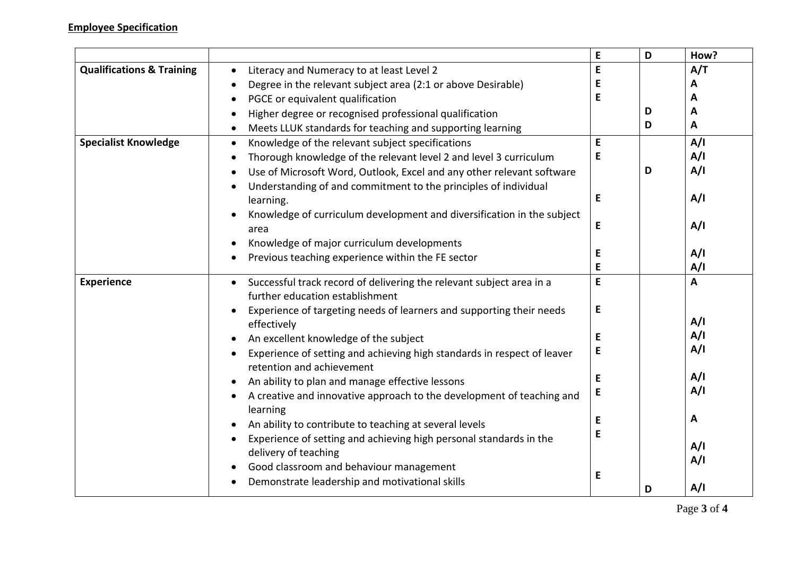|                                      |                                                                                                                      | E         | D | How?         |
|--------------------------------------|----------------------------------------------------------------------------------------------------------------------|-----------|---|--------------|
| <b>Qualifications &amp; Training</b> | Literacy and Numeracy to at least Level 2<br>$\bullet$                                                               | E         |   | A/T          |
|                                      | Degree in the relevant subject area (2:1 or above Desirable)<br>$\bullet$                                            | E         |   | A            |
|                                      | PGCE or equivalent qualification<br>$\bullet$                                                                        | E         |   | A            |
|                                      | Higher degree or recognised professional qualification                                                               |           | D | A            |
|                                      | Meets LLUK standards for teaching and supporting learning<br>$\bullet$                                               |           | D | A            |
| <b>Specialist Knowledge</b>          | Knowledge of the relevant subject specifications<br>$\bullet$                                                        | E         |   | A/I          |
|                                      | Thorough knowledge of the relevant level 2 and level 3 curriculum<br>$\bullet$                                       | E         |   | A/I          |
|                                      | Use of Microsoft Word, Outlook, Excel and any other relevant software<br>$\bullet$                                   |           | D | A/I          |
|                                      | Understanding of and commitment to the principles of individual<br>$\bullet$                                         |           |   |              |
|                                      | learning.                                                                                                            | E         |   | A/I          |
|                                      | Knowledge of curriculum development and diversification in the subject                                               |           |   |              |
|                                      | area                                                                                                                 | E         |   | A/I          |
|                                      | Knowledge of major curriculum developments                                                                           |           |   |              |
|                                      | Previous teaching experience within the FE sector                                                                    | E         |   | A/I          |
|                                      |                                                                                                                      | E<br>E    |   | A/I          |
| <b>Experience</b>                    | Successful track record of delivering the relevant subject area in a<br>$\bullet$<br>further education establishment |           |   | $\mathbf{A}$ |
|                                      |                                                                                                                      | ${\sf E}$ |   |              |
|                                      | Experience of targeting needs of learners and supporting their needs<br>effectively                                  |           |   | A/I          |
|                                      | An excellent knowledge of the subject                                                                                | E         |   | A/I          |
|                                      | Experience of setting and achieving high standards in respect of leaver                                              | E         |   | A/I          |
|                                      | retention and achievement                                                                                            |           |   |              |
|                                      | An ability to plan and manage effective lessons                                                                      | E         |   | A/I          |
|                                      | A creative and innovative approach to the development of teaching and<br>$\bullet$                                   | E         |   | A/I          |
|                                      | learning                                                                                                             |           |   |              |
|                                      | An ability to contribute to teaching at several levels                                                               | E         |   | A            |
|                                      | Experience of setting and achieving high personal standards in the                                                   | E         |   |              |
|                                      | delivery of teaching                                                                                                 |           |   | A/I          |
|                                      | Good classroom and behaviour management                                                                              |           |   | A/I          |
|                                      | Demonstrate leadership and motivational skills                                                                       | E         |   |              |
|                                      |                                                                                                                      |           | D | A/I          |